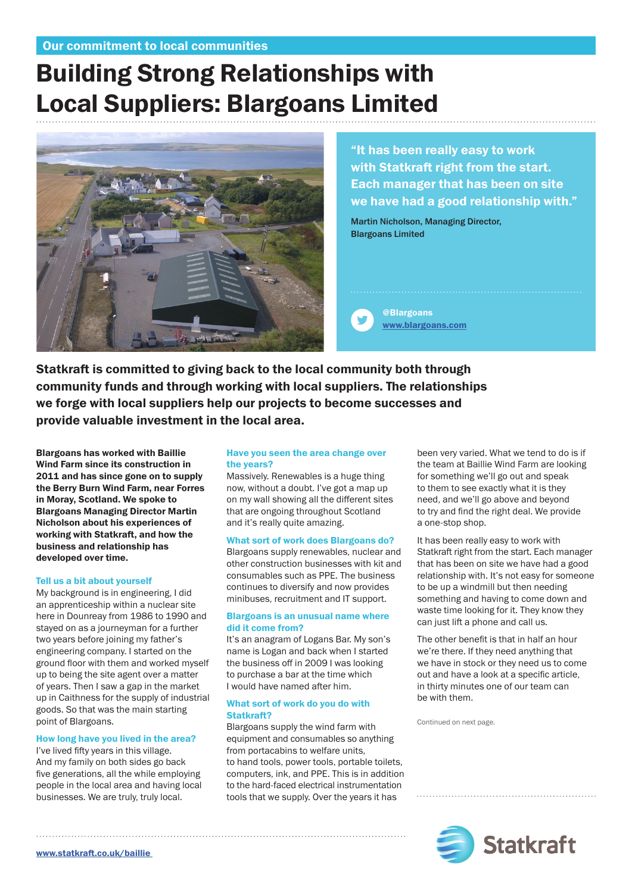# Building Strong Relationships with Local Suppliers: Blargoans Limited



"It has been really easy to work with Statkraft right from the start. Each manager that has been on site we have had a good relationship with."

Martin Nicholson, Managing Director, Blargoans Limited

@Blargoans [www.blargoans.com](http://www.blargoans.com)

Statkraft is committed to giving back to the local community both through community funds and through working with local suppliers. The relationships we forge with local suppliers help our projects to become successes and provide valuable investment in the local area.

Blargoans has worked with Baillie Wind Farm since its construction in 2011 and has since gone on to supply the Berry Burn Wind Farm, near Forres in Moray, Scotland. We spoke to Blargoans Managing Director Martin Nicholson about his experiences of working with Statkraft, and how the business and relationship has developed over time.

# Tell us a bit about yourself

My background is in engineering, I did an apprenticeship within a nuclear site here in Dounreay from 1986 to 1990 and stayed on as a journeyman for a further two years before joining my father's engineering company. I started on the ground floor with them and worked myself up to being the site agent over a matter of years. Then I saw a gap in the market up in Caithness for the supply of industrial goods. So that was the main starting point of Blargoans.

# How long have you lived in the area?

I've lived fifty years in this village. And my family on both sides go back five generations, all the while employing people in the local area and having local businesses. We are truly, truly local.

# Have you seen the area change over the years?

Massively. Renewables is a huge thing now, without a doubt. I've got a map up on my wall showing all the different sites that are ongoing throughout Scotland and it's really quite amazing.

# What sort of work does Blargoans do?

Blargoans supply renewables, nuclear and other construction businesses with kit and consumables such as PPE. The business continues to diversify and now provides minibuses, recruitment and IT support.

### Blargoans is an unusual name where did it come from?

It's an anagram of Logans Bar. My son's name is Logan and back when I started the business off in 2009 I was looking to purchase a bar at the time which I would have named after him.

# What sort of work do you do with Statkraft?

Blargoans supply the wind farm with equipment and consumables so anything from portacabins to welfare units, to hand tools, power tools, portable toilets, computers, ink, and PPE. This is in addition to the hard-faced electrical instrumentation tools that we supply. Over the years it has

been very varied. What we tend to do is if the team at Baillie Wind Farm are looking for something we'll go out and speak to them to see exactly what it is they need, and we'll go above and beyond to try and find the right deal. We provide a one-stop shop.

It has been really easy to work with Statkraft right from the start. Each manager that has been on site we have had a good relationship with. It's not easy for someone to be up a windmill but then needing something and having to come down and waste time looking for it. They know they can just lift a phone and call us.

The other benefit is that in half an hour we're there. If they need anything that we have in stock or they need us to come out and have a look at a specific article, in thirty minutes one of our team can be with them.

Continued on next page.